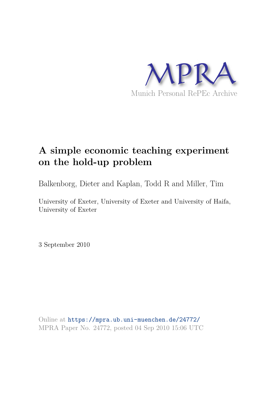

# **A simple economic teaching experiment on the hold-up problem**

Balkenborg, Dieter and Kaplan, Todd R and Miller, Tim

University of Exeter, University of Exeter and University of Haifa, University of Exeter

3 September 2010

Online at https://mpra.ub.uni-muenchen.de/24772/ MPRA Paper No. 24772, posted 04 Sep 2010 15:06 UTC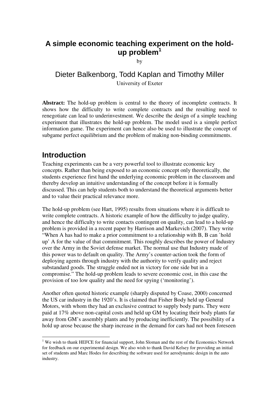# **A simple economic teaching experiment on the holdup problem<sup>1</sup>**

by

Dieter Balkenborg, Todd Kaplan and Timothy Miller University of Exeter

**Abstract:** The hold-up problem is central to the theory of incomplete contracts. It shows how the difficulty to write complete contracts and the resulting need to renegotiate can lead to underinvestment. We describe the design of a simple teaching experiment that illustrates the hold-up problem. The model used is a simple perfect information game. The experiment can hence also be used to illustrate the concept of subgame perfect equilibrium and the problem of making non-binding commitments.

# **Introduction**

 $\overline{a}$ 

Teaching experiments can be a very powerful tool to illustrate economic key concepts. Rather than being exposed to an economic concept only theoretically, the students experience first hand the underlying economic problem in the classroom and thereby develop an intuitive understanding of the concept before it is formally discussed. This can help students both to understand the theoretical arguments better and to value their practical relevance more.

The hold-up problem (see Hart, 1995) results from situations where it is difficult to write complete contracts. A historic example of how the difficulty to judge quality, and hence the difficulty to write contacts contingent on quality, can lead to a hold-up problem is provided in a recent paper by Harrison and Markevich (2007). They write "When A has had to make a prior commitment to a relationship with B, B can `hold up' A for the value of that commitment. This roughly describes the power of Industry over the Army in the Soviet defense market. The normal use that Industry made of this power was to default on quality. The Army's counter-action took the form of deploying agents through industry with the authority to verify quality and reject substandard goods. The struggle ended not in victory for one side but in a compromise." The hold-up problem leads to severe economic cost, in this case the provision of too low quality and the need for spying ('monitoring').

Another often quoted historic example (sharply disputed by Coase, 2000) concerned the US car industry in the 1920's. It is claimed that Fisher Body held up General Motors, with whom they had an exclusive contract to supply body parts. They were paid at 17% above non-capital costs and held up GM by locating their body plants far away from GM's assembly plants and by producing inefficiently. The possibility of a hold up arose because the sharp increase in the demand for cars had not been foreseen

<sup>&</sup>lt;sup>1</sup> We wish to thank HEFCE for financial support, John Sloman and the rest of the Economics Network for feedback on our experimental design. We also wish to thank David Kelsey for providing an initial set of students and Marc Hodes for describing the software used for aerodynamic design in the auto industry.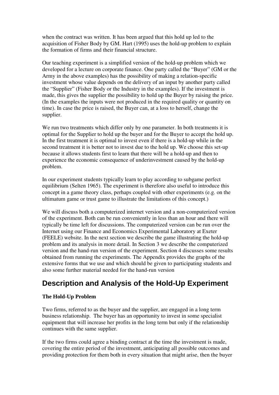when the contract was written. It has been argued that this hold up led to the acquisition of Fisher Body by GM. Hart (1995) uses the hold-up problem to explain the formation of firms and their financial structure.

Our teaching experiment is a simplified version of the hold-up problem which we developed for a lecture on corporate finance. One party called the "Buyer" (GM or the Army in the above examples) has the possibility of making a relation-specific investment whose value depends on the delivery of an input by another party called the "Supplier" (Fisher Body or the Industry in the examples). If the investment is made, this gives the supplier the possibility to hold up the Buyer by raising the price. (In the examples the inputs were not produced in the required quality or quantity on time). In case the price is raised, the Buyer can, at a loss to herself, change the supplier.

We run two treatments which differ only by one parameter. In both treatments it is optimal for the Supplier to hold up the buyer and for the Buyer to accept the hold up. In the first treatment it is optimal to invest even if there is a hold-up while in the second treatment it is better not to invest due to the hold up. We choose this set-up because it allows students first to learn that there will be a hold-up and then to experience the economic consequence of underinvestment caused by the hold-up problem.

In our experiment students typically learn to play according to subgame perfect equilibrium (Selten 1965). The experiment is therefore also useful to introduce this concept in a game theory class, perhaps coupled with other experiments (e.g. on the ultimatum game or trust game to illustrate the limitations of this concept.)

We will discuss both a computerized internet version and a non-computerized version of the experiment. Both can be run conveniently in less than an hour and there will typically be time left for discussions. The computerized version can be run over the Internet using our Finance and Economics Experimental Laboratory at Exeter (FEELE) website. In the next section we describe the game illustrating the hold-up problem and its analysis in more detail. In Section 3 we describe the computerized version and the hand-run version of the experiment. Section 4 discusses some results obtained from running the experiments. The Appendix provides the graphs of the extensive forms that we use and which should be given to participating students and also some further material needed for the hand-run version

# **Description and Analysis of the Hold-Up Experiment**

# **The Hold-Up Problem**

Two firms, referred to as the buyer and the supplier, are engaged in a long term business relationship. The buyer has an opportunity to invest in some specialist equipment that will increase her profits in the long term but only if the relationship continues with the same supplier.

If the two firms could agree a binding contract at the time the investment is made, covering the entire period of the investment, anticipating all possible outcomes and providing protection for them both in every situation that might arise, then the buyer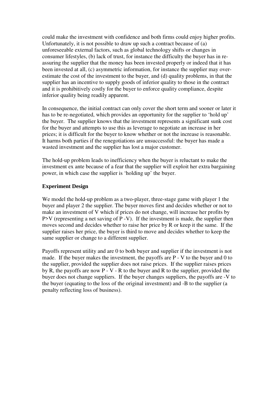could make the investment with confidence and both firms could enjoy higher profits. Unfortunately, it is not possible to draw up such a contract because of (a) unforeseeable external factors, such as global technology shifts or changes in consumer lifestyles, (b) lack of trust, for instance the difficulty the buyer has in reassuring the supplier that the money has been invested properly or indeed that it has been invested at all, (c) asymmetric information, for instance the supplier may overestimate the cost of the investment to the buyer, and (d) quality problems, in that the supplier has an incentive to supply goods of inferior quality to those in the contract and it is prohibitively costly for the buyer to enforce quality compliance, despite inferior quality being readily apparent.

In consequence, the initial contract can only cover the short term and sooner or later it has to be re-negotiated, which provides an opportunity for the supplier to 'hold up' the buyer. The supplier knows that the investment represents a significant sunk cost for the buyer and attempts to use this as leverage to negotiate an increase in her prices; it is difficult for the buyer to know whether or not the increase is reasonable. It harms both parties if the renegotiations are unsuccessful: the buyer has made a wasted investment and the supplier has lost a major customer.

The hold-up problem leads to inefficiency when the buyer is reluctant to make the investment ex ante because of a fear that the supplier will exploit her extra bargaining power, in which case the supplier is 'holding up' the buyer.

#### **Experiment Design**

We model the hold-up problem as a two-player, three-stage game with player 1 the buyer and player 2 the supplier. The buyer moves first and decides whether or not to make an investment of V which if prices do not change, will increase her profits by P>V (representing a net saving of P -V). If the investment is made, the supplier then moves second and decides whether to raise her price by R or keep it the same. If the supplier raises her price, the buyer is third to move and decides whether to keep the same supplier or change to a different supplier.

Payoffs represent utility and are 0 to both buyer and supplier if the investment is not made. If the buyer makes the investment, the payoffs are P - V to the buyer and 0 to the supplier, provided the supplier does not raise prices. If the supplier raises prices by R, the payoffs are now P - V - R to the buyer and R to the supplier, provided the buyer does not change suppliers. If the buyer changes suppliers, the payoffs are -V to the buyer (equating to the loss of the original investment) and -B to the supplier (a penalty reflecting loss of business).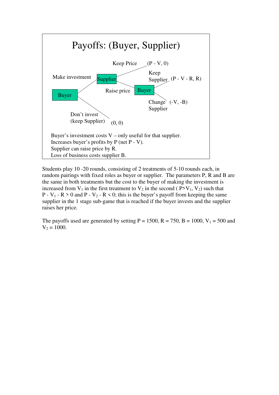

Students play 10 -20 rounds, consisting of 2 treatments of 5-10 rounds each, in random pairings with fixed roles as buyer or supplier. The parameters P, R and B are the same in both treatments but the cost to the buyer of making the investment is increased from  $V_1$  in the first treatment to  $V_2$  in the second (  $P>V_1$ ,  $V_2$ ) such that P - V<sub>1</sub> - R > 0 and P - V<sub>2</sub> - R < 0; this is the buyer's payoff from keeping the same supplier in the 1 stage sub-game that is reached if the buyer invests and the supplier raises her price.

The payoffs used are generated by setting  $P = 1500$ ,  $R = 750$ ,  $B = 1000$ ,  $V_1 = 500$  and  $V_2 = 1000$ .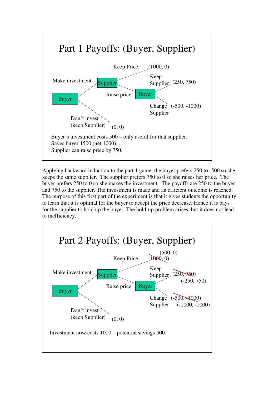

Applying backward induction to the part 1 game, the buyer prefers 250 to -500 so she keeps the same supplier. The supplier prefers 750 to 0 so she raises her price. The buyer prefers 250 to 0 so she makes the investment. The payoffs are 250 to the buyer and 750 to the supplier. The investment is made and an efficient outcome is reached. The purpose of this first part of the experiment is that it gives students the opportunity to learn that it is optimal for the buyer to accept the price decrease. Hence it is pays for the supplier to hold up the buyer. The hold-up problem arises, but it does not lead to inefficiency.

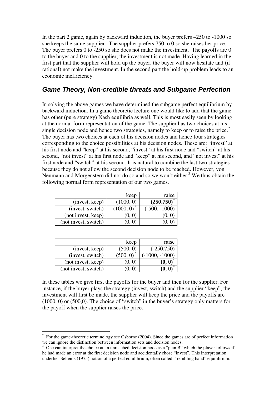In the part 2 game, again by backward induction, the buyer prefers –250 to -1000 so she keeps the same supplier. The supplier prefers 750 to 0 so she raises her price. The buyer prefers 0 to -250 so she does not make the investment. The payoffs are 0 to the buyer and 0 to the supplier; the investment is not made. Having learned in the first part that the supplier will hold up the buyer, the buyer will now hesitate and (if rational) not make the investment. In the second part the hold-up problem leads to an economic inefficiency.

# **Game Theory, Non-credible threats and Subgame Perfection**

In solving the above games we have determined the subgame perfect equilibrium by backward induction. In a game theoretic lecture one would like to add that the game has other (pure strategy) Nash equilibria as well. This is most easily seen by looking at the normal form representation of the game. The supplier has two choices at his single decision node and hence two strategies, namely to keep or to raise the price.<sup>2</sup> The buyer has two choices at each of his decision nodes and hence four strategies corresponding to the choice possibilities at his decision nodes. These are: "invest" at his first node and "keep" at his second, "invest" at his first node and "switch" at his second, "not invest" at his first node and "keep" at his second, and "not invest" at his first node and "switch" at his second. It is natural to combine the last two strategies because they do not allow the second decision node to be reached. However, von Neumann and Morgenstern did not do so and so we won't either.<sup>3</sup> We thus obtain the following normal form representation of our two games.

|                      | keep      | raise           |
|----------------------|-----------|-----------------|
| (invest, keep)       | (1000, 0) | (250, 750)      |
| (invest, switch)     | (1000, 0) | $(-500, -1000)$ |
| (not invest, keep)   |           |                 |
| (not invest, switch) |           |                 |

|                      | keep     | raise            |
|----------------------|----------|------------------|
| (invest, keep)       | (500, 0) | $(-250,750)$     |
| (invest, switch)     | (500, 0) | $(-1000, -1000)$ |
| (not invest, keep)   | (0,0)    | (0, 0)           |
| (not invest, switch) |          | $(0, 0)^*$       |

 $\overline{a}$ 

In these tables we give first the payoffs for the buyer and then for the supplier. For instance, if the buyer plays the strategy (invest, switch) and the supplier "keep", the investment will first be made, the supplier will keep the price and the payoffs are (1000, 0) or (500,0). The choice of "switch" in the buyer's strategy only matters for the payoff when the supplier raises the price.

 $2^{2}$  For the game-theoretic terminology see Osborne (2004). Since the games are of perfect information we can ignore the distinction between information sets and decision nodes.

 $3$  One can interpret the choice at an unreached decision node as a "plan B" which the player follows if he had made an error at the first decision node and accidentally chose "invest". This interpretation underlies Selten's (1975) notion of a perfect equilibrium, often called "trembling hand" equilibrium.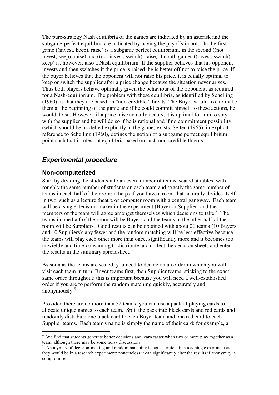The pure-strategy Nash equilibria of the games are indicated by an asterisk and the subgame-perfect equilibria are indicated by having the payoffs in bold. In the first game ((invest, keep), raise) is a subgame perfect equilibrium, in the second ((not invest, keep), raise) and ((not invest, switch), raise). In both games ((invest, switch), keep) is, however, also a Nash equilibrium: If the supplier believes that his opponent invests and then switches if the price is raised, he is better off not to raise the price. If the buyer believes that the opponent will not raise his price, it is equally optimal to keep or switch the supplier after a price change because the situation never arises. Thus both players behave optimally given the behaviour of the opponent, as required for a Nash-equilibrium. The problem with these equilibria, as identified by Schelling (1960), is that they are based on "non-credible" threats. The Buyer would like to make them at the beginning of the game and if he could commit himself to these actions, he would do so. However, if a price raise actually occurs, it is optimal for him to stay with the supplier and he will do so if he is rational and if no commitment possibility (which should be modelled explicitly in the game) exists. Selten (1965), in explicit reference to Schelling (1960), defines the notion of a subgame perfect equilibrium point such that it rules out equilibria based on such non-credible threats.

# **Experimental procedure**

### **Non-computerized**

Start by dividing the students into an even number of teams, seated at tables, with roughly the same number of students on each team and exactly the same number of teams in each half of the room; it helps if you have a room that naturally divides itself in two, such as a lecture theatre or computer room with a central gangway. Each team will be a single decision-maker in the experiment (Buyer or Supplier) and the members of the team will agree amongst themselves which decisions to take.<sup>4</sup> The teams in one half of the room will be Buyers and the teams in the other half of the room will be Suppliers. Good results can be obtained with about 20 teams (10 Buyers and 10 Suppliers); any fewer and the random matching will be less effective because the teams will play each other more than once, significantly more and it becomes too unwieldy and time-consuming to distribute and collect the decision sheets and enter the results in the summary spreadsheet.

As soon as the teams are seated, you need to decide on an order in which you will visit each team in turn, Buyer teams first, then Supplier teams, sticking to the exact same order throughout; this is important because you will need a well-established order if you are to perform the random matching quickly, accurately and anonymously.<sup>5</sup>

Provided there are no more than 52 teams, you can use a pack of playing cards to allocate unique names to each team. Split the pack into black cards and red cards and randomly distribute one black card to each Buyer team and one red card to each Supplier teams. Each team's name is simply the name of their card: for example, a

 4 We find that students generate better decisions and learn faster when two or more play together as a team, although there may be some noisy discussions.

<sup>5</sup> Anonymity of decision-making and random matching is not as critical in a teaching experiment as they would be in a research experiment; nonetheless it can significantly alter the results if anonymity is compromised.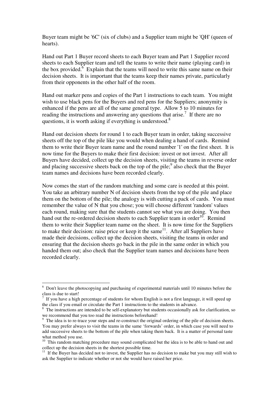Buyer team might be '6C' (six of clubs) and a Supplier team might be 'QH' (queen of hearts).

Hand out Part 1 Buyer record sheets to each Buyer team and Part 1 Supplier record sheets to each Supplier team and tell the teams to write their name (playing card) in the box provided. $6\overline{6}$  Explain that the teams will need to write this same name on their decision sheets. It is important that the teams keep their names private, particularly from their opponents in the other half of the room.

Hand out marker pens and copies of the Part 1 instructions to each team. You might wish to use black pens for the Buyers and red pens for the Suppliers; anonymity is enhanced if the pens are all of the same general type. Allow 5 to 10 minutes for reading the instructions and answering any questions that arise.<sup>7</sup> If there are no questions, it is worth asking if everything is understood.<sup>8</sup>

Hand out decision sheets for round 1 to each Buyer team in order, taking successive sheets off the top of the pile like you would when dealing a hand of cards. Remind them to write their Buyer team name and the round number '1' on the first sheet. It is now time for the Buyers to make their first decision: invest or not invest. After all Buyers have decided, collect up the decision sheets, visiting the teams in reverse order and placing successive sheets back on the top of the pile; $\degree$  also check that the Buyer team names and decisions have been recorded clearly.

Now comes the start of the random matching and some care is needed at this point. You take an arbitrary number N of decision sheets from the top of the pile and place them on the bottom of the pile; the analogy is with cutting a pack of cards. You must remember the value of N that you chose; you will choose different 'random' values each round, making sure that the students cannot see what you are doing. You then hand out the re-ordered decision sheets to each Supplier team in order<sup>10</sup>. Remind them to write their Supplier team name on the sheet. It is now time for the Suppliers to make their decision: raise price or keep it the same<sup>11</sup>. After all Suppliers have made their decisions, collect up the decision sheets, visiting the teams in order and ensuring that the decision sheets go back in the pile in the same order in which you handed them out; also check that the Supplier team names and decisions have been recorded clearly.

 $\overline{a}$ 

<sup>&</sup>lt;sup>6</sup> Don't leave the photocopying and purchasing of experimental materials until 10 minutes before the class is due to start!

 $<sup>7</sup>$  If you have a high percentage of students for whom English is not a first language, it will speed up</sup> the class if you email or circulate the Part 1 instructions to the students in advance.

<sup>8</sup> The instructions are intended to be self-explanatory but students occasionally ask for clarification, so we recommend that you too read the instructions beforehand!

<sup>&</sup>lt;sup>9</sup> The idea is to re-trace your steps and re-construct the original ordering of the pile of decision sheets. You may prefer always to visit the teams in the same 'forwards' order, in which case you will need to add successive sheets to the bottom of the pile when taking them back. It is a matter of personal taste what method you use.

<sup>&</sup>lt;sup>10</sup> This random matching procedure may sound complicated but the idea is to be able to hand out and collect up the decision sheets in the shortest possible time.

<sup>&</sup>lt;sup>11</sup> If the Buyer has decided not to invest, the Supplier has no decision to make but you may still wish to ask the Supplier to indicate whether or not she would have raised her price.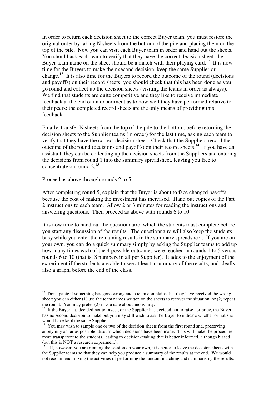In order to return each decision sheet to the correct Buyer team, you must restore the original order by taking N sheets from the bottom of the pile and placing them on the top of the pile. Now you can visit each Buyer team in order and hand out the sheets. You should ask each team to verify that they have the correct decision sheet: the Buyer team name on the sheet should be a match with their playing card.<sup>12</sup> It is now time for the Buyers to make their second decision: keep the same Supplier or change.<sup>13</sup> It is also time for the Buyers to record the outcome of the round (decisions and payoffs) on their record sheets; you should check that this has been done as you go round and collect up the decision sheets (visiting the teams in order as always). We find that students are quite competitive and they like to receive immediate feedback at the end of an experiment as to how well they have performed relative to their peers: the completed record sheets are the only means of providing this feedback.

Finally, transfer N sheets from the top of the pile to the bottom, before returning the decision sheets to the Supplier teams (in order) for the last time, asking each team to verify that they have the correct decision sheet. Check that the Suppliers record the outcome of the round (decisions and payoffs) on their record sheets.<sup>14</sup> If you have an assistant, they can be collecting up the decision sheets from the Suppliers and entering the decisions from round 1 into the summary spreadsheet, leaving you free to concentrate on round 2.<sup>15</sup>

Proceed as above through rounds 2 to 5.

 $\overline{a}$ 

After completing round 5, explain that the Buyer is about to face changed payoffs because the cost of making the investment has increased. Hand out copies of the Part 2 instructions to each team. Allow 2 or 3 minutes for reading the instructions and answering questions. Then proceed as above with rounds 6 to 10.

It is now time to hand out the questionnaire, which the students must complete before you start any discussion of the results. The questionnaire will also keep the students busy while you enter the remaining results in the summary spreadsheet. If you are on your own, you can do a quick summary simply by asking the Supplier teams to add up how many times each of the 4 possible outcomes were reached in rounds 1 to 5 versus rounds 6 to 10 (that is, 8 numbers in all per Supplier). It adds to the enjoyment of the experiment if the students are able to see at least a summary of the results, and ideally also a graph, before the end of the class.

 $12$  Don't panic if something has gone wrong and a team complains that they have received the wrong sheet: you can either (1) use the team names written on the sheets to recover the situation, or (2) repeat the round. You may prefer (2) if you care about anonymity.

<sup>&</sup>lt;sup>13</sup> If the Buyer has decided not to invest, or the Supplier has decided not to raise her price, the Buyer has no second decision to make but you may still wish to ask the Buyer to indicate whether or not she would have kept the same Supplier.

<sup>&</sup>lt;sup>14</sup> You may wish to sample one or two of the decision sheets from the first round and, preserving anonymity as far as possible, discuss which decisions have been made. This will make the procedure more transparent to the students, leading to decision-making that is better informed, although biased (but this is NOT a research experiment).

<sup>15</sup> If, however, you are running the session on your own, it is better to leave the decision sheets with the Supplier teams so that they can help you produce a summary of the results at the end. We would not recommend mixing the activities of performing the random matching and summarising the results.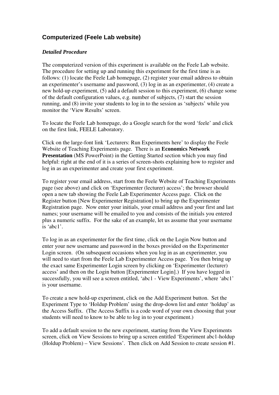# **Computerized (Feele Lab website)**

### *Detailed Procedure*

The computerized version of this experiment is available on the Feele Lab website. The procedure for setting up and running this experiment for the first time is as follows: (1) locate the Feele Lab homepage, (2) register your email address to obtain an experimenter's username and password, (3) log in as an experimenter, (4) create a new hold-up experiment, (5) add a default session to this experiment, (6) change some of the default configuration values, e.g. number of subjects, (7) start the session running, and (8) invite your students to log in to the session as 'subjects' while you monitor the 'View Results' screen.

To locate the Feele Lab homepage, do a Google search for the word 'feele' and click on the first link, FEELE Laboratory.

Click on the large-font link 'Lecturers: Run Experiments here' to display the Feele Website of Teaching Experiments page. There is an **Economics Network Presentation** (MS PowerPoint) in the Getting Started section which you may find helpful: right at the end of it is a series of screen-shots explaining how to register and log in as an experimenter and create your first experiment.

To register your email address, start from the Feele Website of Teaching Experiments page (see above) and click on 'Experimenter (lecturer) access'; the browser should open a new tab showing the Feele Lab Experimenter Access page. Click on the Register button [New Experimenter Registration] to bring up the Experimenter Registration page. Now enter your initials, your email address and your first and last names; your username will be emailed to you and consists of the initials you entered plus a numeric suffix. For the sake of an example, let us assume that your username is 'abc1'.

To log in as an experimenter for the first time, click on the Login Now button and enter your new username and password in the boxes provided on the Experimenter Login screen. (On subsequent occasions when you log in as an experimenter, you will need to start from the Feele Lab Experimenter Access page. You then bring up the exact same Experimenter Login screen by clicking on 'Experimenter (lecturer) access' and then on the Login button [Experimenter Login].) If you have logged in successfully, you will see a screen entitled, 'abc1 - View Experiments', where 'abc1' is your username.

To create a new hold-up experiment, click on the Add Experiment button. Set the Experiment Type to 'Holdup Problem' using the drop-down list and enter 'holdup' as the Access Suffix. (The Access Suffix is a code word of your own choosing that your students will need to know to be able to log in to your experiment.)

To add a default session to the new experiment, starting from the View Experiments screen, click on View Sessions to bring up a screen entitled 'Experiment abc1-holdup (Holdup Problem) – View Sessions'. Then click on Add Session to create session #1.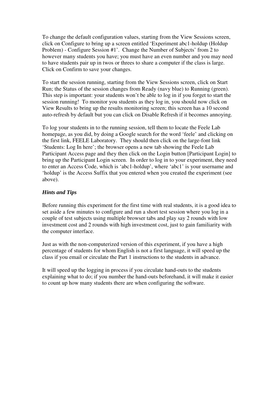To change the default configuration values, starting from the View Sessions screen, click on Configure to bring up a screen entitled 'Experiment abc1-holdup (Holdup Problem) - Configure Session #1'. Change the Number of Subjects' from 2 to however many students you have; you must have an even number and you may need to have students pair up in twos or threes to share a computer if the class is large. Click on Confirm to save your changes.

To start the session running, starting from the View Sessions screen, click on Start Run; the Status of the session changes from Ready (navy blue) to Running (green). This step is important: your students won't be able to log in if you forget to start the session running! To monitor you students as they log in, you should now click on View Results to bring up the results monitoring screen; this screen has a 10 second auto-refresh by default but you can click on Disable Refresh if it becomes annoying.

To log your students in to the running session, tell them to locate the Feele Lab homepage, as you did, by doing a Google search for the word 'feele' and clicking on the first link, FEELE Laboratory. They should then click on the large-font link 'Students: Log In here'; the browser opens a new tab showing the Feele Lab Participant Access page and they then click on the Login button [Participant Login] to bring up the Participant Login screen. In order to log in to your experiment, they need to enter an Access Code, which is 'abc1-holdup', where 'abc1' is your username and 'holdup' is the Access Suffix that you entered when you created the experiment (see above).

## *Hints and Tips*

Before running this experiment for the first time with real students, it is a good idea to set aside a few minutes to configure and run a short test session where you log in a couple of test subjects using multiple browser tabs and play say 2 rounds with low investment cost and 2 rounds with high investment cost, just to gain familiarity with the computer interface.

Just as with the non-computerized version of this experiment, if you have a high percentage of students for whom English is not a first language, it will speed up the class if you email or circulate the Part 1 instructions to the students in advance.

It will speed up the logging in process if you circulate hand-outs to the students explaining what to do; if you number the hand-outs beforehand, it will make it easier to count up how many students there are when configuring the software.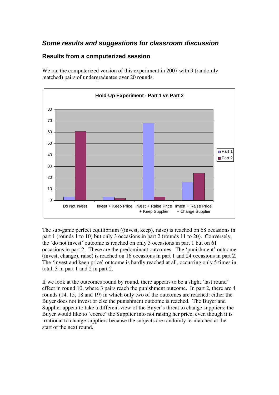# **Some results and suggestions for classroom discussion**

# **Results from a computerized session**

We ran the computerized version of this experiment in 2007 with 9 (randomly matched) pairs of undergraduates over 20 rounds.



The sub-game perfect equilibrium ((invest, keep), raise) is reached on 68 occasions in part 1 (rounds 1 to 10) but only 3 occasions in part 2 (rounds 11 to 20). Conversely, the 'do not invest' outcome is reached on only 3 occasions in part 1 but on 61 occasions in part 2. These are the predominant outcomes. The 'punishment' outcome (invest, change), raise) is reached on 16 occasions in part 1 and 24 occasions in part 2. The 'invest and keep price' outcome is hardly reached at all, occurring only 5 times in total, 3 in part 1 and 2 in part 2.

If we look at the outcomes round by round, there appears to be a slight 'last round' effect in round 10, where 3 pairs reach the punishment outcome. In part 2, there are 4 rounds (14, 15, 18 and 19) in which only two of the outcomes are reached: either the Buyer does not invest or else the punishment outcome is reached. The Buyer and Supplier appear to take a different view of the Buyer's threat to change suppliers; the Buyer would like to 'coerce' the Supplier into not raising her price, even though it is irrational to change suppliers because the subjects are randomly re-matched at the start of the next round.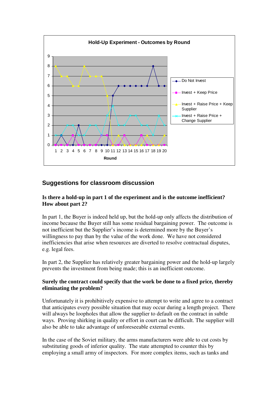

# **Suggestions for classroom discussion**

### **Is there a hold-up in part 1 of the experiment and is the outcome inefficient? How about part 2?**

In part 1, the Buyer is indeed held up, but the hold-up only affects the distribution of income because the Buyer still has some residual bargaining power. The outcome is not inefficient but the Supplier's income is determined more by the Buyer's willingness to pay than by the value of the work done. We have not considered inefficiencies that arise when resources are diverted to resolve contractual disputes, e.g. legal fees.

In part 2, the Supplier has relatively greater bargaining power and the hold-up largely prevents the investment from being made; this is an inefficient outcome.

### **Surely the contract could specify that the work be done to a fixed price, thereby eliminating the problem?**

Unfortunately it is prohibitively expensive to attempt to write and agree to a contract that anticipates every possible situation that may occur during a length project. There will always be loopholes that allow the supplier to default on the contract in subtle ways. Proving shirking in quality or effort in court can be difficult. The supplier will also be able to take advantage of unforeseeable external events.

In the case of the Soviet military, the arms manufacturers were able to cut costs by substituting goods of inferior quality. The state attempted to counter this by employing a small army of inspectors. For more complex items, such as tanks and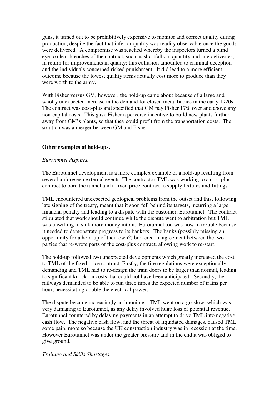guns, it turned out to be prohibitively expensive to monitor and correct quality during production, despite the fact that inferior quality was readily observable once the goods were delivered. A compromise was reached whereby the inspectors turned a blind eye to clear breaches of the contract, such as shortfalls in quantity and late deliveries, in return for improvements in quality; this collusion amounted to criminal deception and the individuals concerned risked punishment. It did lead to a more efficient outcome because the lowest quality items actually cost more to produce than they were worth to the army.

With Fisher versus GM, however, the hold-up came about because of a large and wholly unexpected increase in the demand for closed metal bodies in the early 1920s. The contract was cost-plus and specified that GM pay Fisher 17% over and above any non-capital costs. This gave Fisher a perverse incentive to build new plants further away from GM's plants, so that they could profit from the transportation costs. The solution was a merger between GM and Fisher.

### **Other examples of hold-ups.**

#### *Eurotunnel disputes.*

The Eurotunnel development is a more complex example of a hold-up resulting from several unforeseen external events. The contractor TML was working to a cost-plus contract to bore the tunnel and a fixed price contract to supply fixtures and fittings.

TML encountered unexpected geological problems from the outset and this, following late signing of the treaty, meant that it soon fell behind its targets, incurring a large financial penalty and leading to a dispute with the customer, Eurotunnel. The contract stipulated that work should continue while the dispute went to arbitration but TML was unwilling to sink more money into it. Eurotunnel too was now in trouble because it needed to demonstrate progress to its bankers. The banks (possibly missing an opportunity for a hold-up of their own?) brokered an agreement between the two parties that re-wrote parts of the cost-plus contract, allowing work to re-start.

The hold-up followed two unexpected developments which greatly increased the cost to TML of the fixed price contract. Firstly, the fire regulations were exceptionally demanding and TML had to re-design the train doors to be larger than normal, leading to significant knock-on costs that could not have been anticipated. Secondly, the railways demanded to be able to run three times the expected number of trains per hour, necessitating double the electrical power.

The dispute became increasingly acrimonious. TML went on a go-slow, which was very damaging to Eurotunnel, as any delay involved huge loss of potential revenue. Eurotunnel countered by delaying payments in an attempt to drive TML into negative cash flow. The negative cash flow, and the threat of liquidated damages, caused TML some pain, more so because the UK construction industry was in recession at the time. However Eurotunnel was under the greater pressure and in the end it was obliged to give ground.

#### *Training and Skills Shortages.*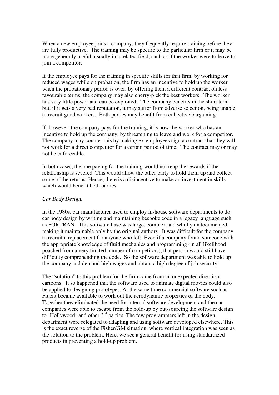When a new employee joins a company, they frequently require training before they are fully productive. The training may be specific to the particular firm or it may be more generally useful, usually in a related field, such as if the worker were to leave to join a competitor.

If the employee pays for the training in specific skills for that firm, by working for reduced wages while on probation, the firm has an incentive to hold up the worker when the probationary period is over, by offering them a different contract on less favourable terms; the company may also cherry-pick the best workers. The worker has very little power and can be exploited. The company benefits in the short term but, if it gets a very bad reputation, it may suffer from adverse selection, being unable to recruit good workers. Both parties may benefit from collective bargaining.

If, however, the company pays for the training, it is now the worker who has an incentive to hold up the company, by threatening to leave and work for a competitor. The company may counter this by making ex-employees sign a contract that they will not work for a direct competitor for a certain period of time. The contract may or may not be enforceable.

In both cases, the one paying for the training would not reap the rewards if the relationship is severed. This would allow the other party to hold them up and collect some of the returns. Hence, there is a disincentive to make an investment in skills which would benefit both parties.

#### *Car Body Design.*

In the 1980s, car manufacturer used to employ in-house software departments to do car body design by writing and maintaining bespoke code in a legacy language such as FORTRAN. This software base was large, complex and wholly undocumented, making it maintainable only by the original authors. It was difficult for the company to recruit a replacement for anyone who left. Even if a company found someone with the appropriate knowledge of fluid mechanics and programming (in all likelihood poached from a very limited number of competitors), that person would still have difficulty comprehending the code. So the software department was able to hold up the company and demand high wages and obtain a high degree of job security.

The "solution" to this problem for the firm came from an unexpected direction: cartoons. It so happened that the software used to animate digital movies could also be applied to designing prototypes. At the same time commercial software such as Fluent became available to work out the aerodynamic properties of the body. Together they eliminated the need for internal software development and the car companies were able to escape from the hold-up by out-sourcing the software design to 'Hollywood' and other  $3<sup>rd</sup>$  parties. The few programmers left in the design department were relegated to adapting and using software developed elsewhere. This is the exact reverse of the Fisher/GM situation, where vertical integration was seen as the solution to the problem. Here, we see a general benefit for using standardized products in preventing a hold-up problem.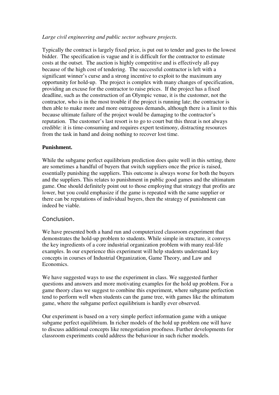### *Large civil engineering and public sector software projects.*

Typically the contract is largely fixed price, is put out to tender and goes to the lowest bidder. The specification is vague and it is difficult for the contractor to estimate costs at the outset. The auction is highly competitive and is effectively all-pay because of the high cost of tendering. The successful contractor is left with a significant winner's curse and a strong incentive to exploit to the maximum any opportunity for hold-up. The project is complex with many changes of specification, providing an excuse for the contractor to raise prices. If the project has a fixed deadline, such as the construction of an Olympic venue, it is the customer, not the contractor, who is in the most trouble if the project is running late; the contractor is then able to make more and more outrageous demands, although there is a limit to this because ultimate failure of the project would be damaging to the contractor's reputation. The customer's last resort is to go to court but this threat is not always credible: it is time-consuming and requires expert testimony, distracting resources from the task in hand and doing nothing to recover lost time.

### **Punishment.**

While the subgame perfect equilibrium prediction does quite well in this setting, there are sometimes a handful of buyers that switch suppliers once the price is raised, essentially punishing the suppliers. This outcome is always worse for both the buyers and the suppliers. This relates to punishment in public good games and the ultimatum game. One should definitely point out to those employing that strategy that profits are lower, but you could emphasize if the game is repeated with the same supplier or there can be reputations of individual buyers, then the strategy of punishment can indeed be viable.

# Conclusion.

We have presented both a hand run and computerized classroom experiment that demonstrates the hold-up problem to students. While simple in structure, it conveys the key ingredients of a core industrial organization problem with many real-life examples. In our experience this experiment will help students understand key concepts in courses of Industrial Organization, Game Theory, and Law and Economics.

We have suggested ways to use the experiment in class. We suggested further questions and answers and more motivating examples for the hold up problem. For a game theory class we suggest to combine this experiment, where subgame perfection tend to perform well when students can the game tree, with games like the ultimatum game, where the subgame perfect equilibrium is hardly ever observed.

Our experiment is based on a very simple perfect information game with a unique subgame perfect equilibrium. In richer models of the hold up problem one will have to discuss additional concepts like renegotiation proofness. Further developments for classroom experiments could address the behaviour in such richer models.